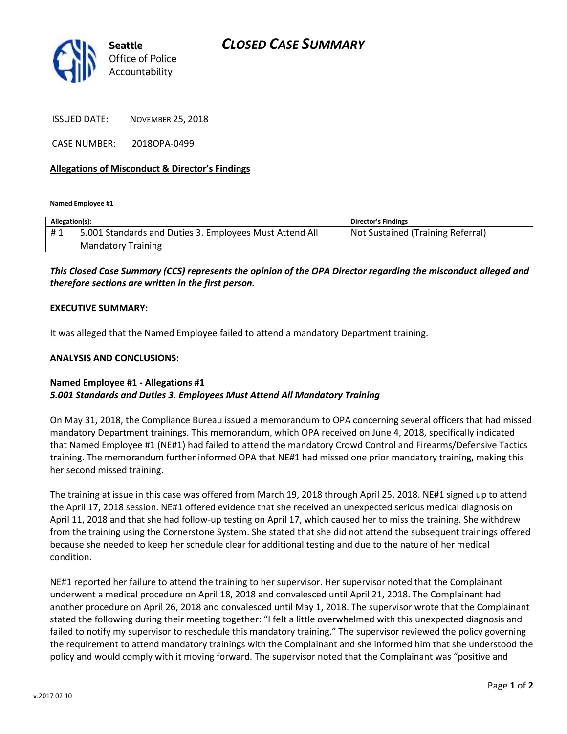

ISSUED DATE: NOVEMBER 25, 2018

CASE NUMBER: 2018OPA-0499

#### **Allegations of Misconduct & Director's Findings**

**Named Employee #1**

| Allegation(s): |                                                         | <b>Director's Findings</b>        |
|----------------|---------------------------------------------------------|-----------------------------------|
| #1             | 5.001 Standards and Duties 3. Employees Must Attend All | Not Sustained (Training Referral) |
|                | <b>Mandatory Training</b>                               |                                   |

## *This Closed Case Summary (CCS) represents the opinion of the OPA Director regarding the misconduct alleged and therefore sections are written in the first person.*

#### **EXECUTIVE SUMMARY:**

It was alleged that the Named Employee failed to attend a mandatory Department training.

#### **ANALYSIS AND CONCLUSIONS:**

### **Named Employee #1 - Allegations #1** *5.001 Standards and Duties 3. Employees Must Attend All Mandatory Training*

On May 31, 2018, the Compliance Bureau issued a memorandum to OPA concerning several officers that had missed mandatory Department trainings. This memorandum, which OPA received on June 4, 2018, specifically indicated that Named Employee #1 (NE#1) had failed to attend the mandatory Crowd Control and Firearms/Defensive Tactics training. The memorandum further informed OPA that NE#1 had missed one prior mandatory training, making this her second missed training.

The training at issue in this case was offered from March 19, 2018 through April 25, 2018. NE#1 signed up to attend the April 17, 2018 session. NE#1 offered evidence that she received an unexpected serious medical diagnosis on April 11, 2018 and that she had follow-up testing on April 17, which caused her to miss the training. She withdrew from the training using the Cornerstone System. She stated that she did not attend the subsequent trainings offered because she needed to keep her schedule clear for additional testing and due to the nature of her medical condition.

NE#1 reported her failure to attend the training to her supervisor. Her supervisor noted that the Complainant underwent a medical procedure on April 18, 2018 and convalesced until April 21, 2018. The Complainant had another procedure on April 26, 2018 and convalesced until May 1, 2018. The supervisor wrote that the Complainant stated the following during their meeting together: "I felt a little overwhelmed with this unexpected diagnosis and failed to notify my supervisor to reschedule this mandatory training." The supervisor reviewed the policy governing the requirement to attend mandatory trainings with the Complainant and she informed him that she understood the policy and would comply with it moving forward. The supervisor noted that the Complainant was "positive and